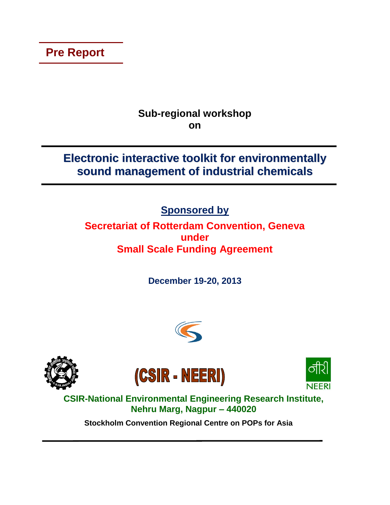**Pre Report**

# **Sub-regional workshop on**

# **Electronic interactive toolkit for environmentally sound management of industrial chemicals**

**Sponsored by**

# **Secretariat of Rotterdam Convention, Geneva under Small Scale Funding Agreement**

**December 19-20, 2013**









**CSIR-National Environmental Engineering Research Institute, Nehru Marg, Nagpur – 440020**

**Stockholm Convention Regional Centre on POPs for Asia**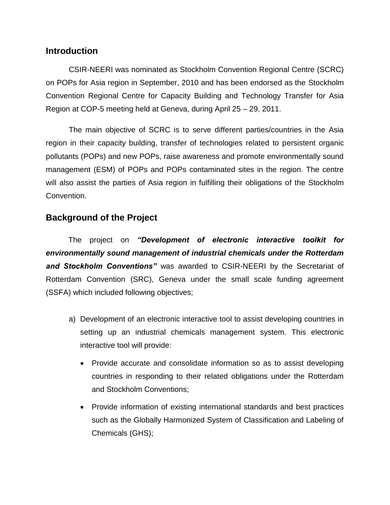#### **Introduction**

CSIR-NEERI was nominated as Stockholm Convention Regional Centre (SCRC) on POPs for Asia region in September, 2010 and has been endorsed as the Stockholm Convention Regional Centre for Capacity Building and Technology Transfer for Asia Region at COP-5 meeting held at Geneva, during April 25 – 29, 2011.

The main objective of SCRC is to serve different parties/countries in the Asia region in their capacity building, transfer of technologies related to persistent organic pollutants (POPs) and new POPs, raise awareness and promote environmentally sound management (ESM) of POPs and POPs contaminated sites in the region. The centre will also assist the parties of Asia region in fulfilling their obligations of the Stockholm Convention.

### **Background of the Project**

The project on *"Development of electronic interactive toolkit for environmentally sound management of industrial chemicals under the Rotterdam and Stockholm Conventions"* was awarded to CSIR-NEERI by the Secretariat of Rotterdam Convention (SRC), Geneva under the small scale funding agreement (SSFA) which included following objectives;

- a) Development of an electronic interactive tool to assist developing countries in setting up an industrial chemicals management system. This electronic interactive tool will provide:
	- Provide accurate and consolidate information so as to assist developing countries in responding to their related obligations under the Rotterdam and Stockholm Conventions;
	- Provide information of existing international standards and best practices such as the Globally Harmonized System of Classification and Labeling of Chemicals (GHS);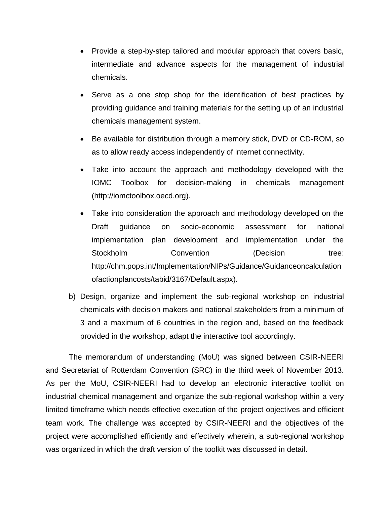- Provide a step-by-step tailored and modular approach that covers basic, intermediate and advance aspects for the management of industrial chemicals.
- Serve as a one stop shop for the identification of best practices by providing guidance and training materials for the setting up of an industrial chemicals management system.
- Be available for distribution through a memory stick, DVD or CD-ROM, so as to allow ready access independently of internet connectivity.
- Take into account the approach and methodology developed with the IOMC Toolbox for decision-making in chemicals management [\(http://iomctoolbox.oecd.org\)](http://iomctoolbox.oecd.org/).
- Take into consideration the approach and methodology developed on the Draft guidance on socio-economic assessment for national implementation plan development and implementation under the Stockholm **Convention** (Decision tree: [http://chm.pops.int/Implementation/NIPs/Guidance/Guidanceoncalculation](http://chm.pops.int/Implementation/NIPs/Guidance/Guidanceoncalculationofactionplancosts/tabid/3167/Default.aspx) [ofactionplancosts/tabid/3167/Default.aspx\)](http://chm.pops.int/Implementation/NIPs/Guidance/Guidanceoncalculationofactionplancosts/tabid/3167/Default.aspx).
- b) Design, organize and implement the sub-regional workshop on industrial chemicals with decision makers and national stakeholders from a minimum of 3 and a maximum of 6 countries in the region and, based on the feedback provided in the workshop, adapt the interactive tool accordingly.

The memorandum of understanding (MoU) was signed between CSIR-NEERI and Secretariat of Rotterdam Convention (SRC) in the third week of November 2013. As per the MoU, CSIR-NEERI had to develop an electronic interactive toolkit on industrial chemical management and organize the sub-regional workshop within a very limited timeframe which needs effective execution of the project objectives and efficient team work. The challenge was accepted by CSIR-NEERI and the objectives of the project were accomplished efficiently and effectively wherein, a sub-regional workshop was organized in which the draft version of the toolkit was discussed in detail.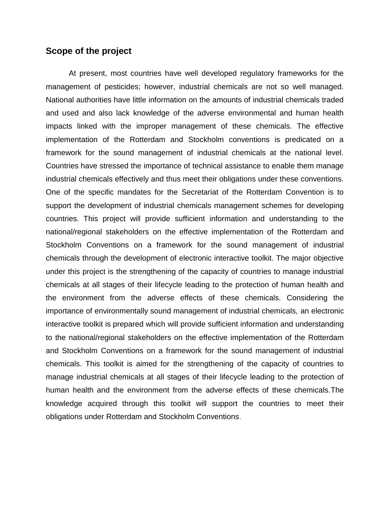#### **Scope of the project**

At present, most countries have well developed regulatory frameworks for the management of pesticides; however, industrial chemicals are not so well managed. National authorities have little information on the amounts of industrial chemicals traded and used and also lack knowledge of the adverse environmental and human health impacts linked with the improper management of these chemicals. The effective implementation of the Rotterdam and Stockholm conventions is predicated on a framework for the sound management of industrial chemicals at the national level. Countries have stressed the importance of technical assistance to enable them manage industrial chemicals effectively and thus meet their obligations under these conventions. One of the specific mandates for the Secretariat of the Rotterdam Convention is to support the development of industrial chemicals management schemes for developing countries. This project will provide sufficient information and understanding to the national/regional stakeholders on the effective implementation of the Rotterdam and Stockholm Conventions on a framework for the sound management of industrial chemicals through the development of electronic interactive toolkit. The major objective under this project is the strengthening of the capacity of countries to manage industrial chemicals at all stages of their lifecycle leading to the protection of human health and the environment from the adverse effects of these chemicals. Considering the importance of environmentally sound management of industrial chemicals, an electronic interactive toolkit is prepared which will provide sufficient information and understanding to the national/regional stakeholders on the effective implementation of the Rotterdam and Stockholm Conventions on a framework for the sound management of industrial chemicals. This toolkit is aimed for the strengthening of the capacity of countries to manage industrial chemicals at all stages of their lifecycle leading to the protection of human health and the environment from the adverse effects of these chemicals.The knowledge acquired through this toolkit will support the countries to meet their obligations under Rotterdam and Stockholm Conventions.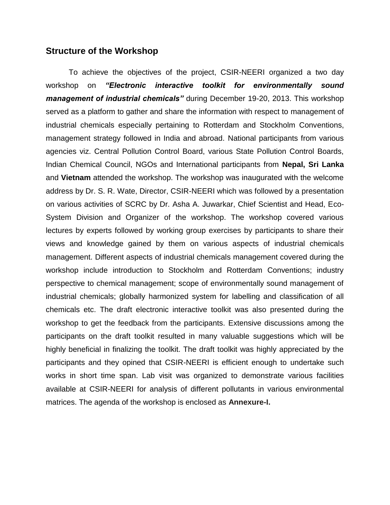#### **Structure of the Workshop**

To achieve the objectives of the project, CSIR-NEERI organized a two day workshop on *"Electronic interactive toolkit for environmentally sound management of industrial chemicals"* during December 19-20, 2013. This workshop served as a platform to gather and share the information with respect to management of industrial chemicals especially pertaining to Rotterdam and Stockholm Conventions, management strategy followed in India and abroad. National participants from various agencies viz. Central Pollution Control Board, various State Pollution Control Boards, Indian Chemical Council, NGOs and International participants from **Nepal, Sri Lanka** and **Vietnam** attended the workshop. The workshop was inaugurated with the welcome address by Dr. S. R. Wate, Director, CSIR-NEERI which was followed by a presentation on various activities of SCRC by Dr. Asha A. Juwarkar, Chief Scientist and Head, Eco-System Division and Organizer of the workshop. The workshop covered various lectures by experts followed by working group exercises by participants to share their views and knowledge gained by them on various aspects of industrial chemicals management. Different aspects of industrial chemicals management covered during the workshop include introduction to Stockholm and Rotterdam Conventions; industry perspective to chemical management; scope of environmentally sound management of industrial chemicals; globally harmonized system for labelling and classification of all chemicals etc. The draft electronic interactive toolkit was also presented during the workshop to get the feedback from the participants. Extensive discussions among the participants on the draft toolkit resulted in many valuable suggestions which will be highly beneficial in finalizing the toolkit. The draft toolkit was highly appreciated by the participants and they opined that CSIR-NEERI is efficient enough to undertake such works in short time span. Lab visit was organized to demonstrate various facilities available at CSIR-NEERI for analysis of different pollutants in various environmental matrices. The agenda of the workshop is enclosed as **Annexure-I.**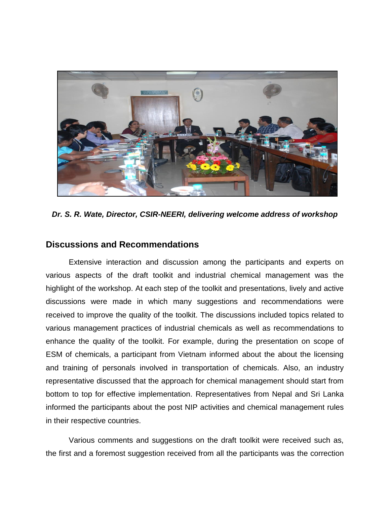

*Dr. S. R. Wate, Director, CSIR-NEERI, delivering welcome address of workshop*

#### **Discussions and Recommendations**

Extensive interaction and discussion among the participants and experts on various aspects of the draft toolkit and industrial chemical management was the highlight of the workshop. At each step of the toolkit and presentations, lively and active discussions were made in which many suggestions and recommendations were received to improve the quality of the toolkit. The discussions included topics related to various management practices of industrial chemicals as well as recommendations to enhance the quality of the toolkit. For example, during the presentation on scope of ESM of chemicals, a participant from Vietnam informed about the about the licensing and training of personals involved in transportation of chemicals. Also, an industry representative discussed that the approach for chemical management should start from bottom to top for effective implementation. Representatives from Nepal and Sri Lanka informed the participants about the post NIP activities and chemical management rules in their respective countries.

Various comments and suggestions on the draft toolkit were received such as, the first and a foremost suggestion received from all the participants was the correction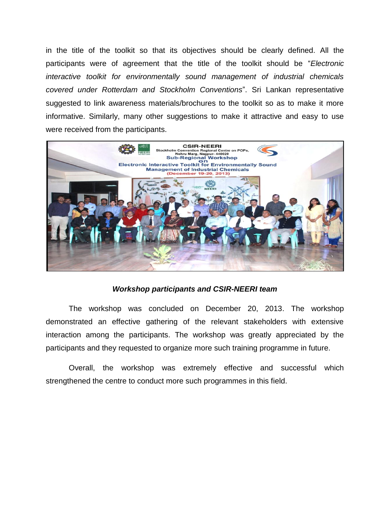in the title of the toolkit so that its objectives should be clearly defined. All the participants were of agreement that the title of the toolkit should be "*Electronic interactive toolkit for environmentally sound management of industrial chemicals covered under Rotterdam and Stockholm Conventions*". Sri Lankan representative suggested to link awareness materials/brochures to the toolkit so as to make it more informative. Similarly, many other suggestions to make it attractive and easy to use were received from the participants.



#### *Workshop participants and CSIR-NEERI team*

The workshop was concluded on December 20, 2013. The workshop demonstrated an effective gathering of the relevant stakeholders with extensive interaction among the participants. The workshop was greatly appreciated by the participants and they requested to organize more such training programme in future.

Overall, the workshop was extremely effective and successful which strengthened the centre to conduct more such programmes in this field.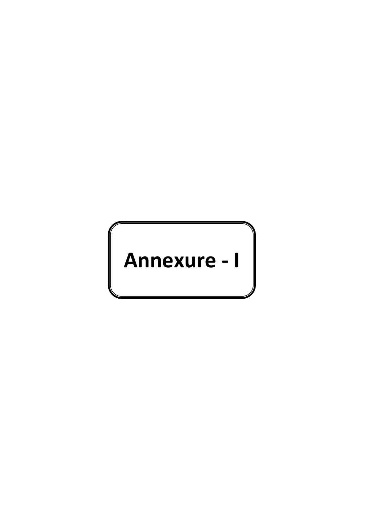# **Annexure - I**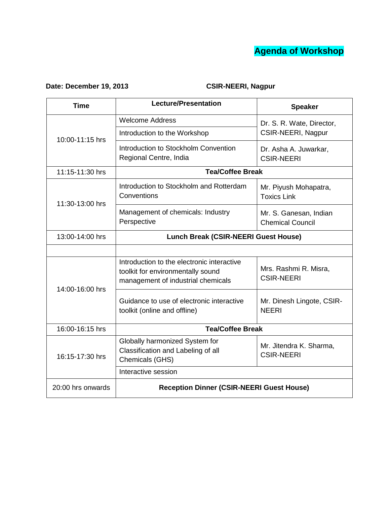

## **Date: December 19, 2013 CSIR-NEERI, Nagpur**

| <b>Time</b>       | <b>Lecture/Presentation</b>                                                                                           | <b>Speaker</b>                                    |
|-------------------|-----------------------------------------------------------------------------------------------------------------------|---------------------------------------------------|
| 10:00-11:15 hrs   | <b>Welcome Address</b>                                                                                                | Dr. S. R. Wate, Director,<br>CSIR-NEERI, Nagpur   |
|                   | Introduction to the Workshop                                                                                          |                                                   |
|                   | Introduction to Stockholm Convention<br>Regional Centre, India                                                        | Dr. Asha A. Juwarkar,<br><b>CSIR-NEERI</b>        |
| 11:15-11:30 hrs   | <b>Tea/Coffee Break</b>                                                                                               |                                                   |
| 11:30-13:00 hrs   | Introduction to Stockholm and Rotterdam<br>Conventions                                                                | Mr. Piyush Mohapatra,<br><b>Toxics Link</b>       |
|                   | Management of chemicals: Industry<br>Perspective                                                                      | Mr. S. Ganesan, Indian<br><b>Chemical Council</b> |
| 13:00-14:00 hrs   | <b>Lunch Break (CSIR-NEERI Guest House)</b>                                                                           |                                                   |
|                   |                                                                                                                       |                                                   |
| 14:00-16:00 hrs   | Introduction to the electronic interactive<br>toolkit for environmentally sound<br>management of industrial chemicals | Mrs. Rashmi R. Misra,<br><b>CSIR-NEERI</b>        |
|                   | Guidance to use of electronic interactive<br>toolkit (online and offline)                                             | Mr. Dinesh Lingote, CSIR-<br><b>NEERI</b>         |
| 16:00-16:15 hrs   | <b>Tea/Coffee Break</b>                                                                                               |                                                   |
| 16:15-17:30 hrs   | Globally harmonized System for<br>Classification and Labeling of all<br>Chemicals (GHS)                               | Mr. Jitendra K. Sharma,<br><b>CSIR-NEERI</b>      |
|                   | Interactive session                                                                                                   |                                                   |
| 20:00 hrs onwards | <b>Reception Dinner (CSIR-NEERI Guest House)</b>                                                                      |                                                   |